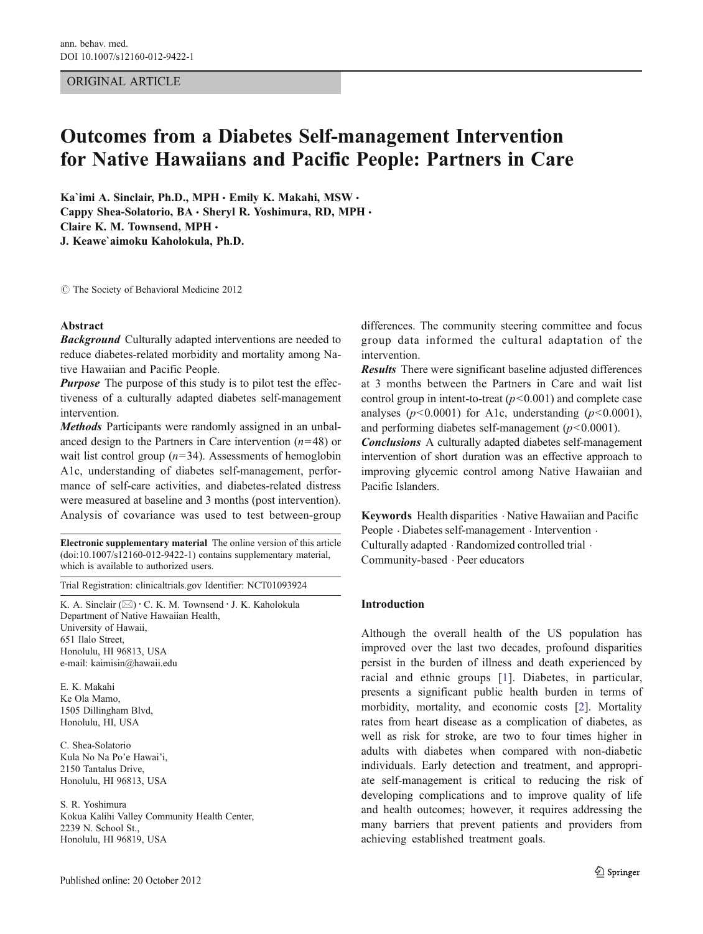## ORIGINAL ARTICLE

# Outcomes from a Diabetes Self-management Intervention for Native Hawaiians and Pacific People: Partners in Care

Ka`imi A. Sinclair, Ph.D., MPH · Emily K. Makahi, MSW · Cappy Shea-Solatorio, BA · Sheryl R. Yoshimura, RD, MPH · Claire K. M. Townsend, MPH & J. Keawe`aimoku Kaholokula, Ph.D.

 $\circ$  The Society of Behavioral Medicine 2012

#### Abstract

**Background** Culturally adapted interventions are needed to reduce diabetes-related morbidity and mortality among Native Hawaiian and Pacific People.

**Purpose** The purpose of this study is to pilot test the effectiveness of a culturally adapted diabetes self-management intervention.

Methods Participants were randomly assigned in an unbalanced design to the Partners in Care intervention  $(n=48)$  or wait list control group  $(n=34)$ . Assessments of hemoglobin A1c, understanding of diabetes self-management, performance of self-care activities, and diabetes-related distress were measured at baseline and 3 months (post intervention). Analysis of covariance was used to test between-group

Electronic supplementary material The online version of this article (doi:[10.1007/s12160-012-9422-1](http://dx.doi.org/10.1007/s12160-012-9422-1)) contains supplementary material, which is available to authorized users.

Trial Registration: clinicaltrials.gov Identifier: NCT01093924

K. A. Sinclair  $(\boxtimes) \cdot C$ . K. M. Townsend  $\cdot$  J. K. Kaholokula Department of Native Hawaiian Health, University of Hawaii, 651 Ilalo Street, Honolulu, HI 96813, USA e-mail: kaimisin@hawaii.edu

E. K. Makahi Ke Ola Mamo, 1505 Dillingham Blvd, Honolulu, HI, USA

C. Shea-Solatorio Kula No Na Po'e Hawai'i, 2150 Tantalus Drive, Honolulu, HI 96813, USA

S. R. Yoshimura Kokua Kalihi Valley Community Health Center, 2239 N. School St., Honolulu, HI 96819, USA

Published online: 20 October 2012

differences. The community steering committee and focus group data informed the cultural adaptation of the intervention.

Results There were significant baseline adjusted differences at 3 months between the Partners in Care and wait list control group in intent-to-treat  $(p<0.001)$  and complete case analyses ( $p<0.0001$ ) for A1c, understanding ( $p<0.0001$ ), and performing diabetes self-management  $(p<0.0001)$ .

Conclusions A culturally adapted diabetes self-management intervention of short duration was an effective approach to improving glycemic control among Native Hawaiian and Pacific Islanders.

Keywords Health disparities . Native Hawaiian and Pacific People . Diabetes self-management . Intervention . Culturally adapted . Randomized controlled trial . Community-based . Peer educators

## Introduction

Although the overall health of the US population has improved over the last two decades, profound disparities persist in the burden of illness and death experienced by racial and ethnic groups [[1\]](#page-7-0). Diabetes, in particular, presents a significant public health burden in terms of morbidity, mortality, and economic costs [\[2](#page-7-0)]. Mortality rates from heart disease as a complication of diabetes, as well as risk for stroke, are two to four times higher in adults with diabetes when compared with non-diabetic individuals. Early detection and treatment, and appropriate self-management is critical to reducing the risk of developing complications and to improve quality of life and health outcomes; however, it requires addressing the many barriers that prevent patients and providers from achieving established treatment goals.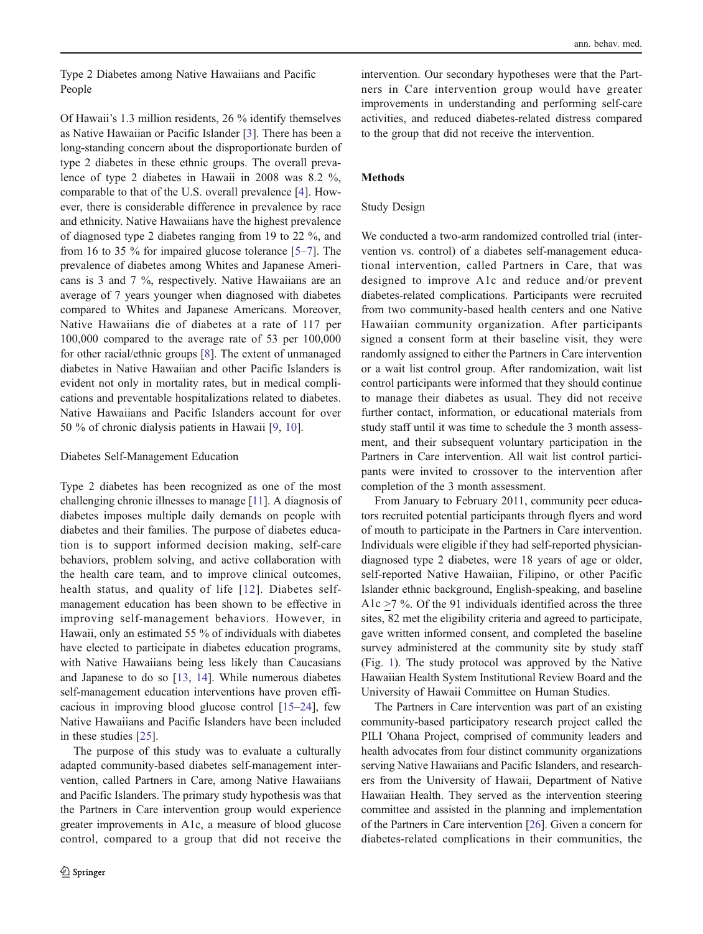Type 2 Diabetes among Native Hawaiians and Pacific People

Of Hawaii's 1.3 million residents, 26 % identify themselves as Native Hawaiian or Pacific Islander [\[3](#page-7-0)]. There has been a long-standing concern about the disproportionate burden of type 2 diabetes in these ethnic groups. The overall prevalence of type 2 diabetes in Hawaii in 2008 was 8.2 %, comparable to that of the U.S. overall prevalence [\[4](#page-7-0)]. However, there is considerable difference in prevalence by race and ethnicity. Native Hawaiians have the highest prevalence of diagnosed type 2 diabetes ranging from 19 to 22 %, and from 16 to 35 % for impaired glucose tolerance [[5](#page-7-0)–[7\]](#page-7-0). The prevalence of diabetes among Whites and Japanese Americans is 3 and 7 %, respectively. Native Hawaiians are an average of 7 years younger when diagnosed with diabetes compared to Whites and Japanese Americans. Moreover, Native Hawaiians die of diabetes at a rate of 117 per 100,000 compared to the average rate of 53 per 100,000 for other racial/ethnic groups [\[8](#page-7-0)]. The extent of unmanaged diabetes in Native Hawaiian and other Pacific Islanders is evident not only in mortality rates, but in medical complications and preventable hospitalizations related to diabetes. Native Hawaiians and Pacific Islanders account for over 50 % of chronic dialysis patients in Hawaii [\[9](#page-7-0), [10\]](#page-7-0).

## Diabetes Self-Management Education

Type 2 diabetes has been recognized as one of the most challenging chronic illnesses to manage [[11](#page-7-0)]. A diagnosis of diabetes imposes multiple daily demands on people with diabetes and their families. The purpose of diabetes education is to support informed decision making, self-care behaviors, problem solving, and active collaboration with the health care team, and to improve clinical outcomes, health status, and quality of life [[12\]](#page-7-0). Diabetes selfmanagement education has been shown to be effective in improving self-management behaviors. However, in Hawaii, only an estimated 55 % of individuals with diabetes have elected to participate in diabetes education programs, with Native Hawaiians being less likely than Caucasians and Japanese to do so [[13,](#page-7-0) [14](#page-7-0)]. While numerous diabetes self-management education interventions have proven efficacious in improving blood glucose control [\[15](#page-7-0)–[24](#page-7-0)], few Native Hawaiians and Pacific Islanders have been included in these studies [[25\]](#page-7-0).

The purpose of this study was to evaluate a culturally adapted community-based diabetes self-management intervention, called Partners in Care, among Native Hawaiians and Pacific Islanders. The primary study hypothesis was that the Partners in Care intervention group would experience greater improvements in A1c, a measure of blood glucose control, compared to a group that did not receive the

intervention. Our secondary hypotheses were that the Partners in Care intervention group would have greater improvements in understanding and performing self-care activities, and reduced diabetes-related distress compared to the group that did not receive the intervention.

#### Methods

#### Study Design

We conducted a two-arm randomized controlled trial (intervention vs. control) of a diabetes self-management educational intervention, called Partners in Care, that was designed to improve A1c and reduce and/or prevent diabetes-related complications. Participants were recruited from two community-based health centers and one Native Hawaiian community organization. After participants signed a consent form at their baseline visit, they were randomly assigned to either the Partners in Care intervention or a wait list control group. After randomization, wait list control participants were informed that they should continue to manage their diabetes as usual. They did not receive further contact, information, or educational materials from study staff until it was time to schedule the 3 month assessment, and their subsequent voluntary participation in the Partners in Care intervention. All wait list control participants were invited to crossover to the intervention after completion of the 3 month assessment.

From January to February 2011, community peer educators recruited potential participants through flyers and word of mouth to participate in the Partners in Care intervention. Individuals were eligible if they had self-reported physiciandiagnosed type 2 diabetes, were 18 years of age or older, self-reported Native Hawaiian, Filipino, or other Pacific Islander ethnic background, English-speaking, and baseline A1c >7 %. Of the 91 individuals identified across the three sites, 82 met the eligibility criteria and agreed to participate, gave written informed consent, and completed the baseline survey administered at the community site by study staff (Fig. [1](#page-2-0)). The study protocol was approved by the Native Hawaiian Health System Institutional Review Board and the University of Hawaii Committee on Human Studies.

The Partners in Care intervention was part of an existing community-based participatory research project called the PILI 'Ohana Project, comprised of community leaders and health advocates from four distinct community organizations serving Native Hawaiians and Pacific Islanders, and researchers from the University of Hawaii, Department of Native Hawaiian Health. They served as the intervention steering committee and assisted in the planning and implementation of the Partners in Care intervention [[26](#page-7-0)]. Given a concern for diabetes-related complications in their communities, the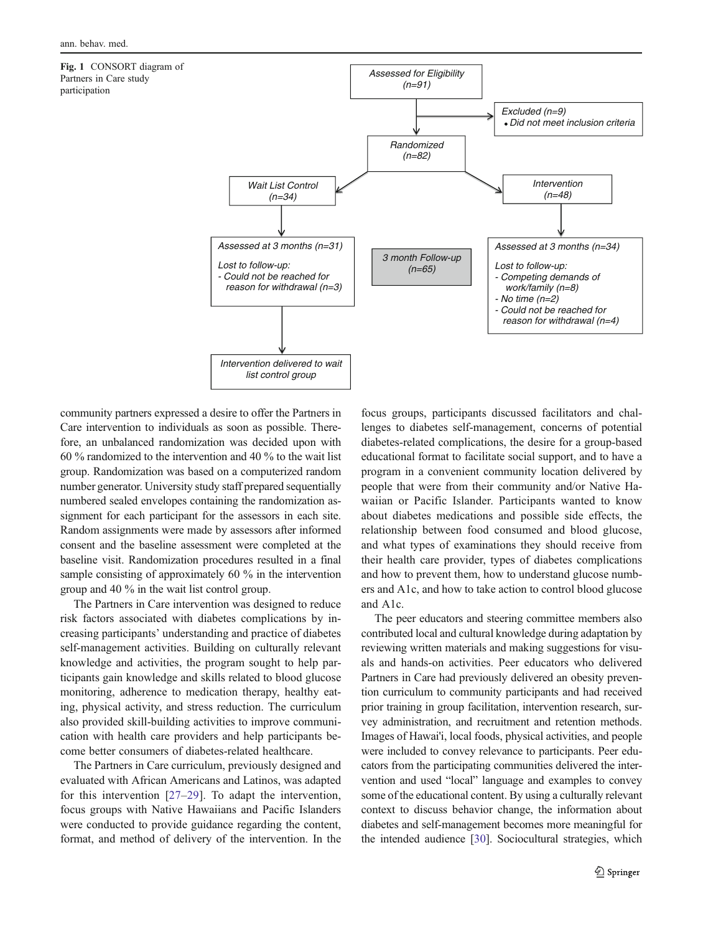<span id="page-2-0"></span>Fig. 1 CONSORT diagram of Partners in Care study participation



community partners expressed a desire to offer the Partners in Care intervention to individuals as soon as possible. Therefore, an unbalanced randomization was decided upon with 60 % randomized to the intervention and 40 % to the wait list group. Randomization was based on a computerized random number generator. University study staff prepared sequentially numbered sealed envelopes containing the randomization assignment for each participant for the assessors in each site. Random assignments were made by assessors after informed consent and the baseline assessment were completed at the baseline visit. Randomization procedures resulted in a final sample consisting of approximately 60 % in the intervention group and 40 % in the wait list control group.

The Partners in Care intervention was designed to reduce risk factors associated with diabetes complications by increasing participants' understanding and practice of diabetes self-management activities. Building on culturally relevant knowledge and activities, the program sought to help participants gain knowledge and skills related to blood glucose monitoring, adherence to medication therapy, healthy eating, physical activity, and stress reduction. The curriculum also provided skill-building activities to improve communication with health care providers and help participants become better consumers of diabetes-related healthcare.

The Partners in Care curriculum, previously designed and evaluated with African Americans and Latinos, was adapted for this intervention [\[27](#page-8-0)–[29\]](#page-8-0). To adapt the intervention, focus groups with Native Hawaiians and Pacific Islanders were conducted to provide guidance regarding the content, format, and method of delivery of the intervention. In the

focus groups, participants discussed facilitators and challenges to diabetes self-management, concerns of potential diabetes-related complications, the desire for a group-based educational format to facilitate social support, and to have a program in a convenient community location delivered by people that were from their community and/or Native Hawaiian or Pacific Islander. Participants wanted to know about diabetes medications and possible side effects, the relationship between food consumed and blood glucose, and what types of examinations they should receive from their health care provider, types of diabetes complications and how to prevent them, how to understand glucose numbers and A1c, and how to take action to control blood glucose and A1c.

The peer educators and steering committee members also contributed local and cultural knowledge during adaptation by reviewing written materials and making suggestions for visuals and hands-on activities. Peer educators who delivered Partners in Care had previously delivered an obesity prevention curriculum to community participants and had received prior training in group facilitation, intervention research, survey administration, and recruitment and retention methods. Images of Hawai'i, local foods, physical activities, and people were included to convey relevance to participants. Peer educators from the participating communities delivered the intervention and used "local" language and examples to convey some of the educational content. By using a culturally relevant context to discuss behavior change, the information about diabetes and self-management becomes more meaningful for the intended audience [[30\]](#page-8-0). Sociocultural strategies, which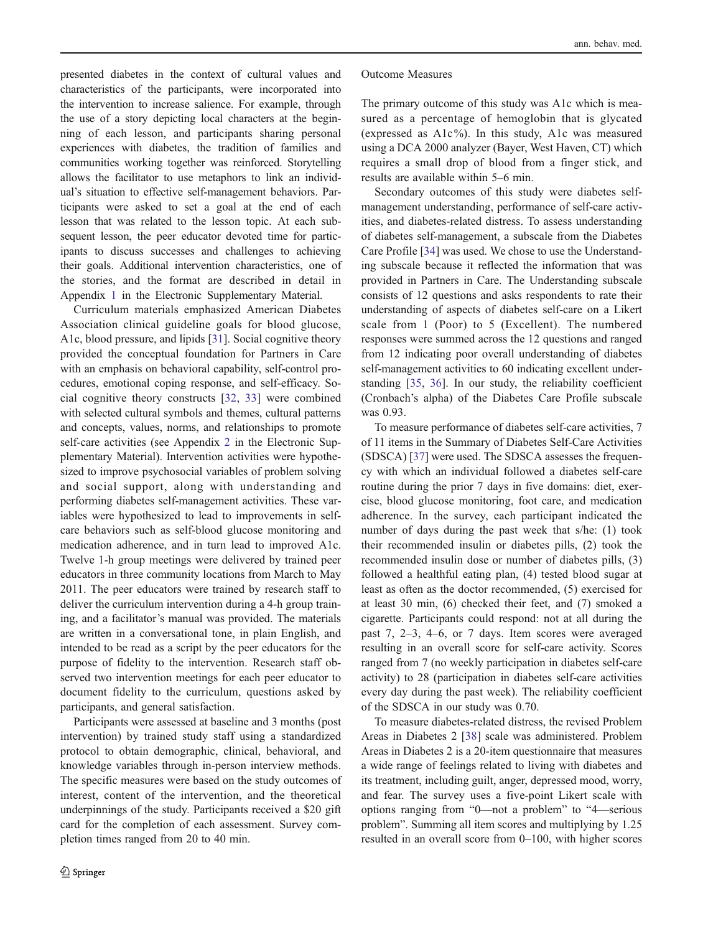presented diabetes in the context of cultural values and characteristics of the participants, were incorporated into the intervention to increase salience. For example, through the use of a story depicting local characters at the beginning of each lesson, and participants sharing personal experiences with diabetes, the tradition of families and communities working together was reinforced. Storytelling allows the facilitator to use metaphors to link an individual's situation to effective self-management behaviors. Participants were asked to set a goal at the end of each lesson that was related to the lesson topic. At each subsequent lesson, the peer educator devoted time for participants to discuss successes and challenges to achieving their goals. Additional intervention characteristics, one of the stories, and the format are described in detail in Appendix 1 in the Electronic Supplementary Material.

Curriculum materials emphasized American Diabetes Association clinical guideline goals for blood glucose, A1c, blood pressure, and lipids [[31\]](#page-8-0). Social cognitive theory provided the conceptual foundation for Partners in Care with an emphasis on behavioral capability, self-control procedures, emotional coping response, and self-efficacy. Social cognitive theory constructs [[32,](#page-8-0) [33\]](#page-8-0) were combined with selected cultural symbols and themes, cultural patterns and concepts, values, norms, and relationships to promote self-care activities (see Appendix 2 in the Electronic Supplementary Material). Intervention activities were hypothesized to improve psychosocial variables of problem solving and social support, along with understanding and performing diabetes self-management activities. These variables were hypothesized to lead to improvements in selfcare behaviors such as self-blood glucose monitoring and medication adherence, and in turn lead to improved A1c. Twelve 1-h group meetings were delivered by trained peer educators in three community locations from March to May 2011. The peer educators were trained by research staff to deliver the curriculum intervention during a 4-h group training, and a facilitator's manual was provided. The materials are written in a conversational tone, in plain English, and intended to be read as a script by the peer educators for the purpose of fidelity to the intervention. Research staff observed two intervention meetings for each peer educator to document fidelity to the curriculum, questions asked by participants, and general satisfaction.

Participants were assessed at baseline and 3 months (post intervention) by trained study staff using a standardized protocol to obtain demographic, clinical, behavioral, and knowledge variables through in-person interview methods. The specific measures were based on the study outcomes of interest, content of the intervention, and the theoretical underpinnings of the study. Participants received a \$20 gift card for the completion of each assessment. Survey completion times ranged from 20 to 40 min.

#### Outcome Measures

The primary outcome of this study was A1c which is measured as a percentage of hemoglobin that is glycated (expressed as  $A1c\%$ ). In this study, A1c was measured using a DCA 2000 analyzer (Bayer, West Haven, CT) which requires a small drop of blood from a finger stick, and results are available within 5–6 min.

Secondary outcomes of this study were diabetes selfmanagement understanding, performance of self-care activities, and diabetes-related distress. To assess understanding of diabetes self-management, a subscale from the Diabetes Care Profile [\[34](#page-8-0)] was used. We chose to use the Understanding subscale because it reflected the information that was provided in Partners in Care. The Understanding subscale consists of 12 questions and asks respondents to rate their understanding of aspects of diabetes self-care on a Likert scale from 1 (Poor) to 5 (Excellent). The numbered responses were summed across the 12 questions and ranged from 12 indicating poor overall understanding of diabetes self-management activities to 60 indicating excellent understanding [\[35,](#page-8-0) [36](#page-8-0)]. In our study, the reliability coefficient (Cronbach's alpha) of the Diabetes Care Profile subscale was 0.93.

To measure performance of diabetes self-care activities, 7 of 11 items in the Summary of Diabetes Self-Care Activities (SDSCA) [\[37](#page-8-0)] were used. The SDSCA assesses the frequency with which an individual followed a diabetes self-care routine during the prior 7 days in five domains: diet, exercise, blood glucose monitoring, foot care, and medication adherence. In the survey, each participant indicated the number of days during the past week that s/he: (1) took their recommended insulin or diabetes pills, (2) took the recommended insulin dose or number of diabetes pills, (3) followed a healthful eating plan, (4) tested blood sugar at least as often as the doctor recommended, (5) exercised for at least 30 min, (6) checked their feet, and (7) smoked a cigarette. Participants could respond: not at all during the past 7, 2–3, 4–6, or 7 days. Item scores were averaged resulting in an overall score for self-care activity. Scores ranged from 7 (no weekly participation in diabetes self-care activity) to 28 (participation in diabetes self-care activities every day during the past week). The reliability coefficient of the SDSCA in our study was 0.70.

To measure diabetes-related distress, the revised Problem Areas in Diabetes 2 [\[38](#page-8-0)] scale was administered. Problem Areas in Diabetes 2 is a 20-item questionnaire that measures a wide range of feelings related to living with diabetes and its treatment, including guilt, anger, depressed mood, worry, and fear. The survey uses a five-point Likert scale with options ranging from "0—not a problem" to "4—serious problem". Summing all item scores and multiplying by 1.25 resulted in an overall score from 0–100, with higher scores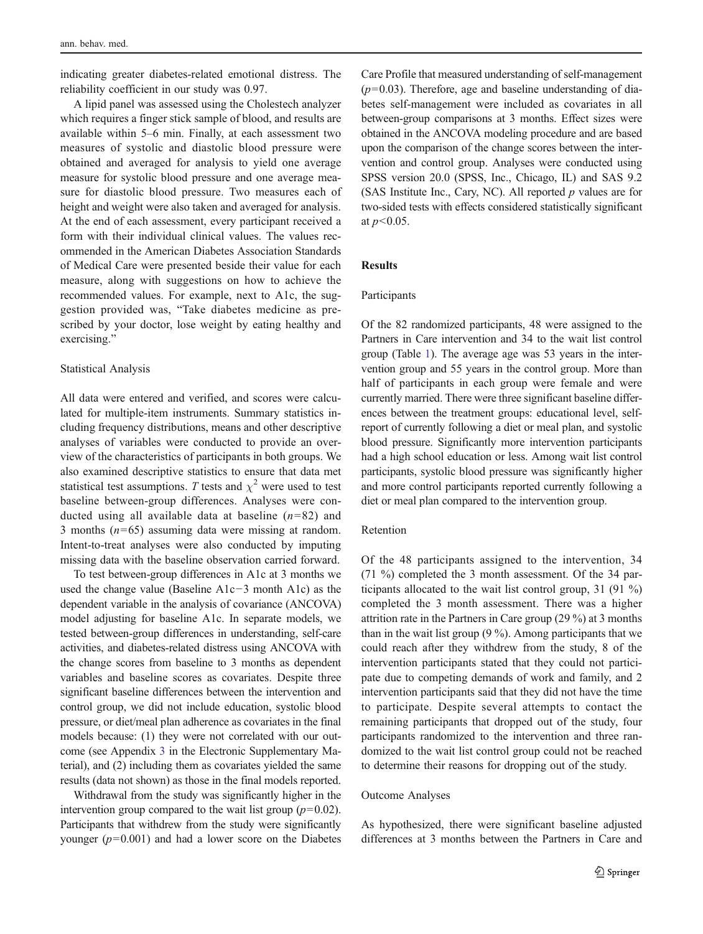indicating greater diabetes-related emotional distress. The reliability coefficient in our study was 0.97.

A lipid panel was assessed using the Cholestech analyzer which requires a finger stick sample of blood, and results are available within 5–6 min. Finally, at each assessment two measures of systolic and diastolic blood pressure were obtained and averaged for analysis to yield one average measure for systolic blood pressure and one average measure for diastolic blood pressure. Two measures each of height and weight were also taken and averaged for analysis. At the end of each assessment, every participant received a form with their individual clinical values. The values recommended in the American Diabetes Association Standards of Medical Care were presented beside their value for each measure, along with suggestions on how to achieve the recommended values. For example, next to A1c, the suggestion provided was, "Take diabetes medicine as prescribed by your doctor, lose weight by eating healthy and exercising."

#### Statistical Analysis

All data were entered and verified, and scores were calculated for multiple-item instruments. Summary statistics including frequency distributions, means and other descriptive analyses of variables were conducted to provide an overview of the characteristics of participants in both groups. We also examined descriptive statistics to ensure that data met statistical test assumptions. T tests and  $\chi^2$  were used to test baseline between-group differences. Analyses were conducted using all available data at baseline  $(n=82)$  and 3 months  $(n=65)$  assuming data were missing at random. Intent-to-treat analyses were also conducted by imputing missing data with the baseline observation carried forward.

To test between-group differences in A1c at 3 months we used the change value (Baseline A1c−3 month A1c) as the dependent variable in the analysis of covariance (ANCOVA) model adjusting for baseline A1c. In separate models, we tested between-group differences in understanding, self-care activities, and diabetes-related distress using ANCOVA with the change scores from baseline to 3 months as dependent variables and baseline scores as covariates. Despite three significant baseline differences between the intervention and control group, we did not include education, systolic blood pressure, or diet/meal plan adherence as covariates in the final models because: (1) they were not correlated with our outcome (see Appendix 3 in the Electronic Supplementary Material), and (2) including them as covariates yielded the same results (data not shown) as those in the final models reported.

Withdrawal from the study was significantly higher in the intervention group compared to the wait list group  $(p=0.02)$ . Participants that withdrew from the study were significantly younger  $(p=0.001)$  and had a lower score on the Diabetes Care Profile that measured understanding of self-management  $(p=0.03)$ . Therefore, age and baseline understanding of diabetes self-management were included as covariates in all between-group comparisons at 3 months. Effect sizes were obtained in the ANCOVA modeling procedure and are based upon the comparison of the change scores between the intervention and control group. Analyses were conducted using SPSS version 20.0 (SPSS, Inc., Chicago, IL) and SAS 9.2 (SAS Institute Inc., Cary, NC). All reported  $p$  values are for two-sided tests with effects considered statistically significant at  $p < 0.05$ .

# **Results**

# Participants

Of the 82 randomized participants, 48 were assigned to the Partners in Care intervention and 34 to the wait list control group (Table [1\)](#page-5-0). The average age was 53 years in the intervention group and 55 years in the control group. More than half of participants in each group were female and were currently married. There were three significant baseline differences between the treatment groups: educational level, selfreport of currently following a diet or meal plan, and systolic blood pressure. Significantly more intervention participants had a high school education or less. Among wait list control participants, systolic blood pressure was significantly higher and more control participants reported currently following a diet or meal plan compared to the intervention group.

# Retention

Of the 48 participants assigned to the intervention, 34 (71 %) completed the 3 month assessment. Of the 34 participants allocated to the wait list control group, 31 (91 %) completed the 3 month assessment. There was a higher attrition rate in the Partners in Care group (29 %) at 3 months than in the wait list group (9 %). Among participants that we could reach after they withdrew from the study, 8 of the intervention participants stated that they could not participate due to competing demands of work and family, and 2 intervention participants said that they did not have the time to participate. Despite several attempts to contact the remaining participants that dropped out of the study, four participants randomized to the intervention and three randomized to the wait list control group could not be reached to determine their reasons for dropping out of the study.

#### Outcome Analyses

As hypothesized, there were significant baseline adjusted differences at 3 months between the Partners in Care and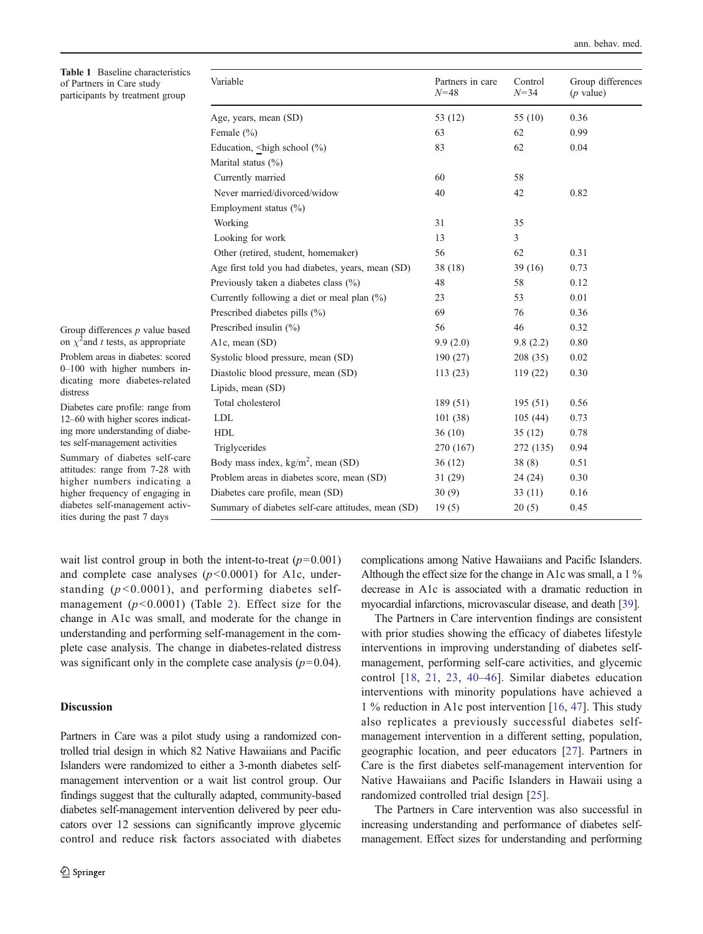<span id="page-5-0"></span>Table 1 Baseline characteristics of Partners in Care study participants by treatment group

| Variable                                           | Partners in care<br>$N = 48$ | Control<br>$N = 34$ | Group differences<br>$(p$ value) |
|----------------------------------------------------|------------------------------|---------------------|----------------------------------|
| Age, years, mean (SD)                              | 53 (12)                      | 55 $(10)$           | 0.36                             |
| Female $(\% )$                                     | 63                           | 62                  | 0.99                             |
| Education, $\langle$ high school $(\% )$           | 83                           | 62                  | 0.04                             |
| Marital status $(\%)$                              |                              |                     |                                  |
| Currently married                                  | 60                           | 58                  |                                  |
| Never married/divorced/widow                       | 40                           | 42                  | 0.82                             |
| Employment status $(\% )$                          |                              |                     |                                  |
| Working                                            | 31                           | 35                  |                                  |
| Looking for work                                   | 13                           | 3                   |                                  |
| Other (retired, student, homemaker)                | 56                           | 62                  | 0.31                             |
| Age first told you had diabetes, years, mean (SD)  | 38(18)                       | 39(16)              | 0.73                             |
| Previously taken a diabetes class (%)              | 48                           | 58                  | 0.12                             |
| Currently following a diet or meal plan (%)        | 23                           | 53                  | 0.01                             |
| Prescribed diabetes pills (%)                      | 69                           | 76                  | 0.36                             |
| Prescribed insulin $(\% )$                         | 56                           | 46                  | 0.32                             |
| A1c, mean (SD)                                     | 9.9(2.0)                     | 9.8(2.2)            | 0.80                             |
| Systolic blood pressure, mean (SD)                 | 190(27)                      | 208(35)             | 0.02                             |
| Diastolic blood pressure, mean (SD)                | 113(23)                      | 119 (22)            | 0.30                             |
| Lipids, mean (SD)                                  |                              |                     |                                  |
| Total cholesterol                                  | 189 (51)                     | 195(51)             | 0.56                             |
| <b>LDL</b>                                         | 101(38)                      | 105(44)             | 0.73                             |
| <b>HDL</b>                                         | 36(10)                       | 35(12)              | 0.78                             |
| Triglycerides                                      | 270 (167)                    | 272 (135)           | 0.94                             |
| Body mass index, $\text{kg/m}^2$ , mean (SD)       | 36 (12)                      | 38(8)               | 0.51                             |
| Problem areas in diabetes score, mean (SD)         | 31 (29)                      | 24(24)              | 0.30                             |
| Diabetes care profile, mean (SD)                   | 30(9)                        | 33(11)              | 0.16                             |
| Summary of diabetes self-care attitudes, mean (SD) | 19(5)                        | 20(5)               | 0.45                             |

Group differences  $p$  value based on  $\chi^2$  and t tests, as appropriate

Problem areas in diabetes: scored 0–100 with higher numbers indicating more diabetes-related distress

Diabetes care profile: range from 12–60 with higher scores indicating more understanding of diabetes self-management activities

Summary of diabetes self-care attitudes: range from 7-28 with higher numbers indicating a higher frequency of engaging in diabetes self-management activities during the past 7 days

wait list control group in both the intent-to-treat  $(p=0.001)$ and complete case analyses  $(p<0.0001)$  for A1c, understanding  $(p<0.0001)$ , and performing diabetes selfmanagement  $(p<0.0001)$  (Table [2](#page-6-0)). Effect size for the change in A1c was small, and moderate for the change in understanding and performing self-management in the complete case analysis. The change in diabetes-related distress was significant only in the complete case analysis  $(p=0.04)$ .

# Discussion

Partners in Care was a pilot study using a randomized controlled trial design in which 82 Native Hawaiians and Pacific Islanders were randomized to either a 3-month diabetes selfmanagement intervention or a wait list control group. Our findings suggest that the culturally adapted, community-based diabetes self-management intervention delivered by peer educators over 12 sessions can significantly improve glycemic control and reduce risk factors associated with diabetes complications among Native Hawaiians and Pacific Islanders. Although the effect size for the change in A1c was small, a 1 % decrease in A1c is associated with a dramatic reduction in myocardial infarctions, microvascular disease, and death [\[39\]](#page-8-0).

The Partners in Care intervention findings are consistent with prior studies showing the efficacy of diabetes lifestyle interventions in improving understanding of diabetes selfmanagement, performing self-care activities, and glycemic control [[18](#page-7-0), [21,](#page-7-0) [23](#page-7-0), [40](#page-8-0)–[46](#page-8-0)]. Similar diabetes education interventions with minority populations have achieved a 1 % reduction in A1c post intervention [\[16](#page-7-0), [47\]](#page-8-0). This study also replicates a previously successful diabetes selfmanagement intervention in a different setting, population, geographic location, and peer educators [[27\]](#page-8-0). Partners in Care is the first diabetes self-management intervention for Native Hawaiians and Pacific Islanders in Hawaii using a randomized controlled trial design [[25\]](#page-7-0).

The Partners in Care intervention was also successful in increasing understanding and performance of diabetes selfmanagement. Effect sizes for understanding and performing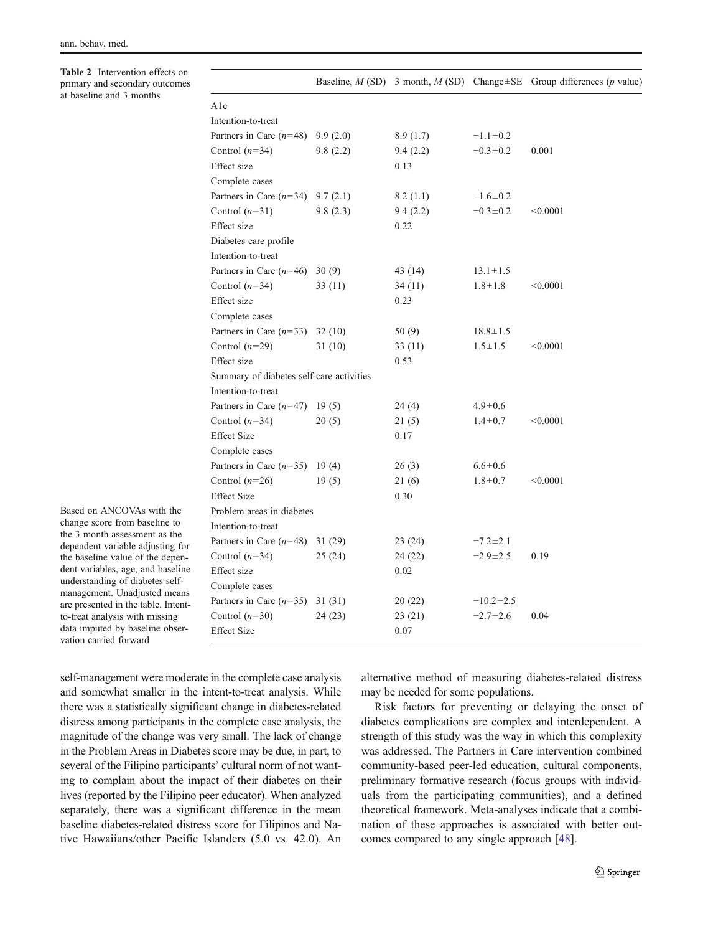<span id="page-6-0"></span>Table 2 Intervention effects on primary and secondary outcomes at baseline and 3 months

|                                          |          |          |                 | Baseline, $M(SD)$ 3 month, $M(SD)$ Change $\pm$ SE Group differences (p value) |
|------------------------------------------|----------|----------|-----------------|--------------------------------------------------------------------------------|
| A1c                                      |          |          |                 |                                                                                |
| Intention-to-treat                       |          |          |                 |                                                                                |
| Partners in Care $(n=48)$                | 9.9(2.0) | 8.9(1.7) | $-1.1 \pm 0.2$  |                                                                                |
| Control $(n=34)$                         | 9.8(2.2) | 9.4(2.2) | $-0.3 \pm 0.2$  | 0.001                                                                          |
| Effect size                              |          | 0.13     |                 |                                                                                |
| Complete cases                           |          |          |                 |                                                                                |
| Partners in Care $(n=34)$                | 9.7(2.1) | 8.2(1.1) | $-1.6 \pm 0.2$  |                                                                                |
| Control $(n=31)$                         | 9.8(2.3) | 9.4(2.2) | $-0.3 \pm 0.2$  | < 0.0001                                                                       |
| Effect size                              |          | 0.22     |                 |                                                                                |
| Diabetes care profile                    |          |          |                 |                                                                                |
| Intention-to-treat                       |          |          |                 |                                                                                |
| Partners in Care $(n=46)$                | 30(9)    | 43 (14)  | $13.1 \pm 1.5$  |                                                                                |
| Control $(n=34)$                         | 33(11)   | 34 (11)  | $1.8 \pm 1.8$   | < 0.0001                                                                       |
| Effect size                              |          | 0.23     |                 |                                                                                |
| Complete cases                           |          |          |                 |                                                                                |
| Partners in Care $(n=33)$                | 32(10)   | 50(9)    | $18.8 \pm 1.5$  |                                                                                |
| Control $(n=29)$                         | 31 (10)  | 33 (11)  | $1.5 \pm 1.5$   | < 0.0001                                                                       |
| Effect size                              |          | 0.53     |                 |                                                                                |
| Summary of diabetes self-care activities |          |          |                 |                                                                                |
| Intention-to-treat                       |          |          |                 |                                                                                |
| Partners in Care $(n=47)$ 19 (5)         |          | 24(4)    | $4.9 \pm 0.6$   |                                                                                |
| Control $(n=34)$                         | 20(5)    | 21(5)    | $1.4 \pm 0.7$   | < 0.0001                                                                       |
| <b>Effect Size</b>                       |          | 0.17     |                 |                                                                                |
| Complete cases                           |          |          |                 |                                                                                |
| Partners in Care $(n=35)$                | 19(4)    | 26(3)    | $6.6 \pm 0.6$   |                                                                                |
| Control $(n=26)$                         | 19(5)    | 21(6)    | $1.8 + 0.7$     | < 0.0001                                                                       |
| <b>Effect Size</b>                       |          | 0.30     |                 |                                                                                |
| Problem areas in diabetes                |          |          |                 |                                                                                |
| Intention-to-treat                       |          |          |                 |                                                                                |
| Partners in Care $(n=48)$ 31 (29)        |          | 23 (24)  | $-7.2 \pm 2.1$  |                                                                                |
| Control $(n=34)$                         | 25(24)   | 24 (22)  | $-2.9 \pm 2.5$  | 0.19                                                                           |
| Effect size                              |          | 0.02     |                 |                                                                                |
| Complete cases                           |          |          |                 |                                                                                |
| Partners in Care $(n=35)$                | 31(31)   | 20(22)   | $-10.2 \pm 2.5$ |                                                                                |
| Control $(n=30)$                         | 24 (23)  | 23 (21)  | $-2.7 \pm 2.6$  | 0.04                                                                           |
| <b>Effect Size</b>                       |          | 0.07     |                 |                                                                                |

Based on ANCOVAs with the change score from baseline to the 3 month assessment as the dependent variable adjusting for the baseline value of the dependent variables, age, and baseline understanding of diabetes selfmanagement. Unadjusted means are presented in the table. Intentto-treat analysis with missing data imputed by baseline observation carried forward

self-management were moderate in the complete case analysis and somewhat smaller in the intent-to-treat analysis. While there was a statistically significant change in diabetes-related distress among participants in the complete case analysis, the magnitude of the change was very small. The lack of change in the Problem Areas in Diabetes score may be due, in part, to several of the Filipino participants' cultural norm of not wanting to complain about the impact of their diabetes on their lives (reported by the Filipino peer educator). When analyzed separately, there was a significant difference in the mean baseline diabetes-related distress score for Filipinos and Native Hawaiians/other Pacific Islanders (5.0 vs. 42.0). An alternative method of measuring diabetes-related distress may be needed for some populations.

Risk factors for preventing or delaying the onset of diabetes complications are complex and interdependent. A strength of this study was the way in which this complexity was addressed. The Partners in Care intervention combined community-based peer-led education, cultural components, preliminary formative research (focus groups with individuals from the participating communities), and a defined theoretical framework. Meta-analyses indicate that a combination of these approaches is associated with better outcomes compared to any single approach [\[48](#page-8-0)].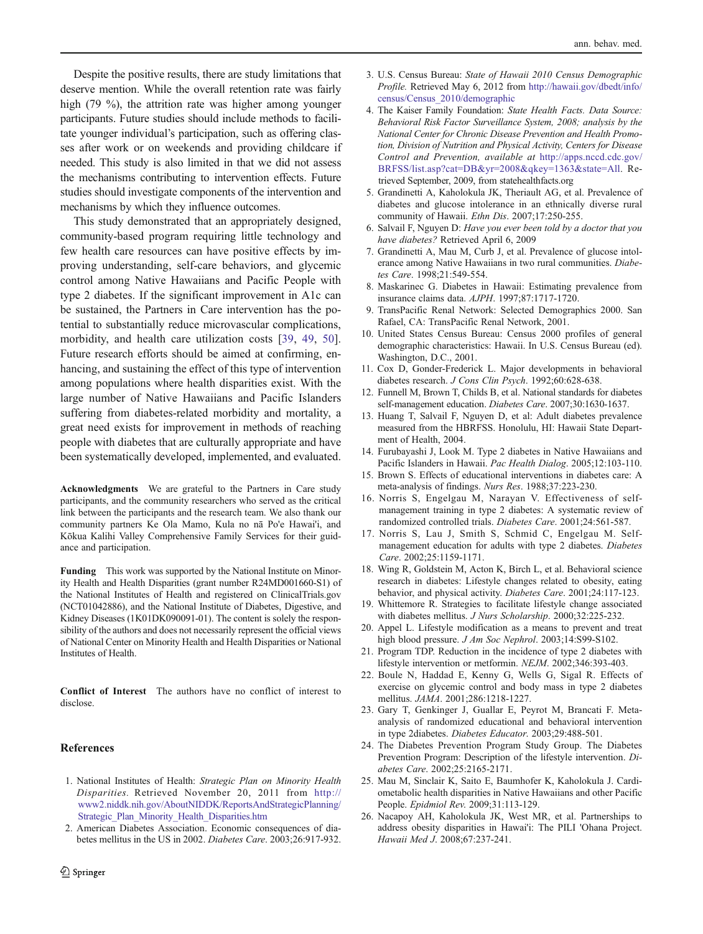<span id="page-7-0"></span>Despite the positive results, there are study limitations that deserve mention. While the overall retention rate was fairly high (79 %), the attrition rate was higher among younger participants. Future studies should include methods to facilitate younger individual's participation, such as offering classes after work or on weekends and providing childcare if needed. This study is also limited in that we did not assess the mechanisms contributing to intervention effects. Future studies should investigate components of the intervention and mechanisms by which they influence outcomes.

This study demonstrated that an appropriately designed, community-based program requiring little technology and few health care resources can have positive effects by improving understanding, self-care behaviors, and glycemic control among Native Hawaiians and Pacific People with type 2 diabetes. If the significant improvement in A1c can be sustained, the Partners in Care intervention has the potential to substantially reduce microvascular complications, morbidity, and health care utilization costs [[39,](#page-8-0) [49](#page-8-0), [50](#page-8-0)]. Future research efforts should be aimed at confirming, enhancing, and sustaining the effect of this type of intervention among populations where health disparities exist. With the large number of Native Hawaiians and Pacific Islanders suffering from diabetes-related morbidity and mortality, a great need exists for improvement in methods of reaching people with diabetes that are culturally appropriate and have been systematically developed, implemented, and evaluated.

Acknowledgments We are grateful to the Partners in Care study participants, and the community researchers who served as the critical link between the participants and the research team. We also thank our community partners Ke Ola Mamo, Kula no nā Po'e Hawai'i, and Kōkua Kalihi Valley Comprehensive Family Services for their guidance and participation.

Funding This work was supported by the National Institute on Minority Health and Health Disparities (grant number R24MD001660-S1) of the National Institutes of Health and registered on ClinicalTrials.gov (NCT01042886), and the National Institute of Diabetes, Digestive, and Kidney Diseases (1K01DK090091-01). The content is solely the responsibility of the authors and does not necessarily represent the official views of National Center on Minority Health and Health Disparities or National Institutes of Health.

Conflict of Interest The authors have no conflict of interest to disclose.

## **References**

- 1. National Institutes of Health: Strategic Plan on Minority Health Disparities. Retrieved November 20, 2011 from [http://](http://www2.niddk.nih.gov/AboutNIDDK/ReportsAndStrategicPlanning/Strategic_Plan_Minority_Health_Disparities.htm) [www2.niddk.nih.gov/AboutNIDDK/ReportsAndStrategicPlanning/](http://www2.niddk.nih.gov/AboutNIDDK/ReportsAndStrategicPlanning/Strategic_Plan_Minority_Health_Disparities.htm) [Strategic\\_Plan\\_Minority\\_Health\\_Disparities.htm](http://www2.niddk.nih.gov/AboutNIDDK/ReportsAndStrategicPlanning/Strategic_Plan_Minority_Health_Disparities.htm)
- 2. American Diabetes Association. Economic consequences of diabetes mellitus in the US in 2002. Diabetes Care. 2003;26:917-932.
- 3. U.S. Census Bureau: State of Hawaii 2010 Census Demographic Profile. Retrieved May 6, 2012 from [http://hawaii.gov/dbedt/info/](http://hawaii.gov/dbedt/info/census/Census_2010/demographic) [census/Census\\_2010/demographic](http://hawaii.gov/dbedt/info/census/Census_2010/demographic)
- 4. The Kaiser Family Foundation: State Health Facts. Data Source: Behavioral Risk Factor Surveillance System, 2008; analysis by the National Center for Chronic Disease Prevention and Health Promotion, Division of Nutrition and Physical Activity, Centers for Disease Control and Prevention, available at [http://apps.nccd.cdc.gov/](http://apps.nccd.cdc.gov/BRFSS/list.asp?cat=DB&yr=2008&qkey=1363&state=All) [BRFSS/list.asp?cat](http://apps.nccd.cdc.gov/BRFSS/list.asp?cat=DB&yr=2008&qkey=1363&state=All)=[DB&yr](http://apps.nccd.cdc.gov/BRFSS/list.asp?cat=DB&yr=2008&qkey=1363&state=All)=[2008&qkey](http://apps.nccd.cdc.gov/BRFSS/list.asp?cat=DB&yr=2008&qkey=1363&state=All)=[1363&state](http://apps.nccd.cdc.gov/BRFSS/list.asp?cat=DB&yr=2008&qkey=1363&state=All)=[All.](http://apps.nccd.cdc.gov/BRFSS/list.asp?cat=DB&yr=2008&qkey=1363&state=All) Retrieved September, 2009, from statehealthfacts.org
- 5. Grandinetti A, Kaholokula JK, Theriault AG, et al. Prevalence of diabetes and glucose intolerance in an ethnically diverse rural community of Hawaii. Ethn Dis. 2007;17:250-255.
- 6. Salvail F, Nguyen D: Have you ever been told by a doctor that you have diabetes? Retrieved April 6, 2009
- 7. Grandinetti A, Mau M, Curb J, et al. Prevalence of glucose intolerance among Native Hawaiians in two rural communities. Diabetes Care. 1998;21:549-554.
- 8. Maskarinec G. Diabetes in Hawaii: Estimating prevalence from insurance claims data. AJPH. 1997;87:1717-1720.
- 9. TransPacific Renal Network: Selected Demographics 2000. San Rafael, CA: TransPacific Renal Network, 2001.
- 10. United States Census Bureau: Census 2000 profiles of general demographic characteristics: Hawaii. In U.S. Census Bureau (ed). Washington, D.C., 2001.
- 11. Cox D, Gonder-Frederick L. Major developments in behavioral diabetes research. J Cons Clin Psych. 1992;60:628-638.
- 12. Funnell M, Brown T, Childs B, et al. National standards for diabetes self-management education. Diabetes Care. 2007;30:1630-1637.
- 13. Huang T, Salvail F, Nguyen D, et al: Adult diabetes prevalence measured from the HBRFSS. Honolulu, HI: Hawaii State Department of Health, 2004.
- 14. Furubayashi J, Look M. Type 2 diabetes in Native Hawaiians and Pacific Islanders in Hawaii. Pac Health Dialog. 2005;12:103-110.
- 15. Brown S. Effects of educational interventions in diabetes care: A meta-analysis of findings. Nurs Res. 1988;37:223-230.
- 16. Norris S, Engelgau M, Narayan V. Effectiveness of selfmanagement training in type 2 diabetes: A systematic review of randomized controlled trials. Diabetes Care. 2001;24:561-587.
- 17. Norris S, Lau J, Smith S, Schmid C, Engelgau M. Selfmanagement education for adults with type 2 diabetes. Diabetes Care. 2002;25:1159-1171.
- 18. Wing R, Goldstein M, Acton K, Birch L, et al. Behavioral science research in diabetes: Lifestyle changes related to obesity, eating behavior, and physical activity. Diabetes Care. 2001;24:117-123.
- 19. Whittemore R. Strategies to facilitate lifestyle change associated with diabetes mellitus. J Nurs Scholarship. 2000;32:225-232.
- 20. Appel L. Lifestyle modification as a means to prevent and treat high blood pressure. *J Am Soc Nephrol*. 2003;14:S99-S102.
- 21. Program TDP. Reduction in the incidence of type 2 diabetes with lifestyle intervention or metformin. NEJM. 2002;346:393-403.
- 22. Boule N, Haddad E, Kenny G, Wells G, Sigal R. Effects of exercise on glycemic control and body mass in type 2 diabetes mellitus. JAMA. 2001;286:1218-1227.
- 23. Gary T, Genkinger J, Guallar E, Peyrot M, Brancati F. Metaanalysis of randomized educational and behavioral intervention in type 2diabetes. Diabetes Educator. 2003;29:488-501.
- 24. The Diabetes Prevention Program Study Group. The Diabetes Prevention Program: Description of the lifestyle intervention. Diabetes Care. 2002;25:2165-2171.
- 25. Mau M, Sinclair K, Saito E, Baumhofer K, Kaholokula J. Cardiometabolic health disparities in Native Hawaiians and other Pacific People. Epidmiol Rev. 2009;31:113-129.
- 26. Nacapoy AH, Kaholokula JK, West MR, et al. Partnerships to address obesity disparities in Hawai'i: The PILI 'Ohana Project. Hawaii Med J. 2008;67:237-241.